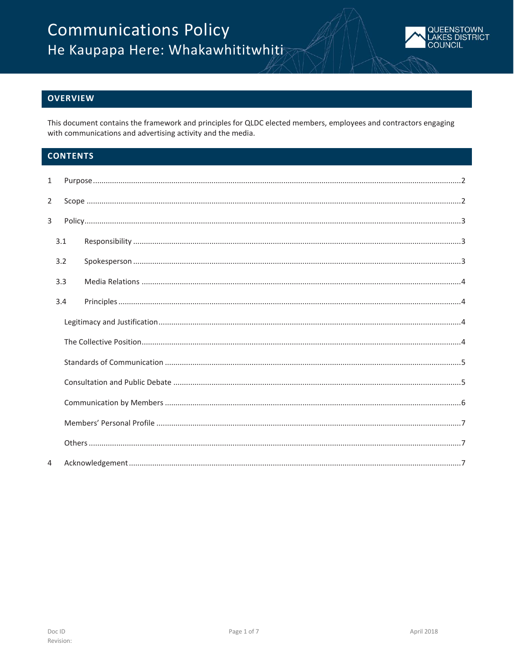

# **OVERVIEW**

This document contains the framework and principles for QLDC elected members, employees and contractors engaging with communications and advertising activity and the media.

# **CONTENTS**

| 1              |     |  |  |  |  |
|----------------|-----|--|--|--|--|
| $\overline{2}$ |     |  |  |  |  |
| 3              |     |  |  |  |  |
|                | 3.1 |  |  |  |  |
|                | 3.2 |  |  |  |  |
|                | 3.3 |  |  |  |  |
|                | 3.4 |  |  |  |  |
|                |     |  |  |  |  |
|                |     |  |  |  |  |
|                |     |  |  |  |  |
|                |     |  |  |  |  |
|                |     |  |  |  |  |
|                |     |  |  |  |  |
|                |     |  |  |  |  |
| $\overline{4}$ |     |  |  |  |  |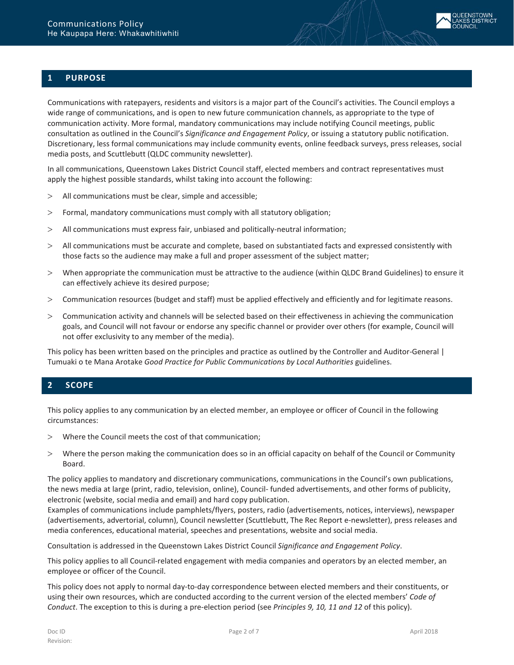

# <span id="page-1-0"></span>**1 PURPOSE**

Communications with ratepayers, residents and visitors is a major part of the Council's activities. The Council employs a wide range of communications, and is open to new future communication channels, as appropriate to the type of communication activity. More formal, mandatory communications may include notifying Council meetings, public consultation as outlined in the Council's *Significance and Engagement Policy*, or issuing a statutory public notification. Discretionary, less formal communications may include community events, online feedback surveys, press releases, social media posts, and Scuttlebutt (QLDC community newsletter).

In all communications, Queenstown Lakes District Council staff, elected members and contract representatives must apply the highest possible standards, whilst taking into account the following:

- > All communications must be clear, simple and accessible;
- > Formal, mandatory communications must comply with all statutory obligation;
- > All communications must express fair, unbiased and politically-neutral information;
- > All communications must be accurate and complete, based on substantiated facts and expressed consistently with those facts so the audience may make a full and proper assessment of the subject matter;
- > When appropriate the communication must be attractive to the audience (within QLDC Brand Guidelines) to ensure it can effectively achieve its desired purpose;
- > Communication resources (budget and staff) must be applied effectively and efficiently and for legitimate reasons.
- > Communication activity and channels will be selected based on their effectiveness in achieving the communication goals, and Council will not favour or endorse any specific channel or provider over others (for example, Council will not offer exclusivity to any member of the media).

This policy has been written based on the principles and practice as outlined by the Controller and Auditor-General | Tumuaki o te Mana Arotake *Good Practice for Public Communications by Local Authorities* guidelines.

# <span id="page-1-1"></span>**2 SCOPE**

This policy applies to any communication by an elected member, an employee or officer of Council in the following circumstances:

- > Where the Council meets the cost of that communication;
- > Where the person making the communication does so in an official capacity on behalf of the Council or Community Board.

The policy applies to mandatory and discretionary communications, communications in the Council's own publications, the news media at large (print, radio, television, online), Council- funded advertisements, and other forms of publicity, electronic (website, social media and email) and hard copy publication.

Examples of communications include pamphlets/flyers, posters, radio (advertisements, notices, interviews), newspaper (advertisements, advertorial, column), Council newsletter (Scuttlebutt, The Rec Report e-newsletter), press releases and media conferences, educational material, speeches and presentations, website and social media.

Consultation is addressed in the Queenstown Lakes District Council *Significance and Engagement Policy*.

This policy applies to all Council-related engagement with media companies and operators by an elected member, an employee or officer of the Council.

This policy does not apply to normal day-to-day correspondence between elected members and their constituents, or using their own resources, which are conducted according to the current version of the elected members' *Code of Conduct*. The exception to this is during a pre-election period (see *Principles 9, 10, 11 and 12* of this policy).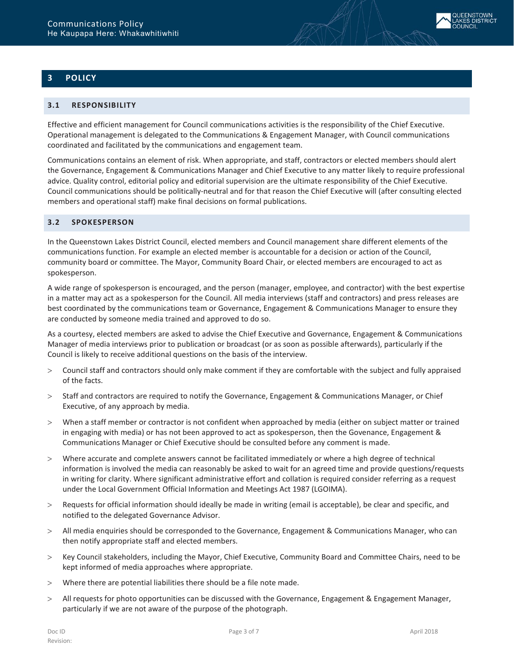# <span id="page-2-0"></span>**3 POLICY**

# <span id="page-2-1"></span>**3.1 RESPONSIBILITY**

Effective and efficient management for Council communications activities is the responsibility of the Chief Executive. Operational management is delegated to the Communications & Engagement Manager, with Council communications coordinated and facilitated by the communications and engagement team.

Communications contains an element of risk. When appropriate, and staff, contractors or elected members should alert the Governance, Engagement & Communications Manager and Chief Executive to any matter likely to require professional advice. Quality control, editorial policy and editorial supervision are the ultimate responsibility of the Chief Executive. Council communications should be politically-neutral and for that reason the Chief Executive will (after consulting elected members and operational staff) make final decisions on formal publications.

# <span id="page-2-2"></span>**3.2 SPOKESPERSON**

In the Queenstown Lakes District Council, elected members and Council management share different elements of the communications function. For example an elected member is accountable for a decision or action of the Council, community board or committee. The Mayor, Community Board Chair, or elected members are encouraged to act as spokesperson.

A wide range of spokesperson is encouraged, and the person (manager, employee, and contractor) with the best expertise in a matter may act as a spokesperson for the Council. All media interviews (staff and contractors) and press releases are best coordinated by the communications team or Governance, Engagement & Communications Manager to ensure they are conducted by someone media trained and approved to do so.

As a courtesy, elected members are asked to advise the Chief Executive and Governance, Engagement & Communications Manager of media interviews prior to publication or broadcast (or as soon as possible afterwards), particularly if the Council is likely to receive additional questions on the basis of the interview.

- > Council staff and contractors should only make comment if they are comfortable with the subject and fully appraised of the facts.
- > Staff and contractors are required to notify the Governance, Engagement & Communications Manager, or Chief Executive, of any approach by media.
- > When a staff member or contractor is not confident when approached by media (either on subject matter or trained in engaging with media) or has not been approved to act as spokesperson, then the Govenance, Engagement & Communications Manager or Chief Executive should be consulted before any comment is made.
- > Where accurate and complete answers cannot be facilitated immediately or where a high degree of technical information is involved the media can reasonably be asked to wait for an agreed time and provide questions/requests in writing for clarity. Where significant administrative effort and collation is required consider referring as a request under the Local Government Official Information and Meetings Act 1987 (LGOIMA).
- > Requests for official information should ideally be made in writing (email is acceptable), be clear and specific, and notified to the delegated Governance Advisor.
- > All media enquiries should be corresponded to the Governance, Engagement & Communications Manager, who can then notify appropriate staff and elected members.
- > Key Council stakeholders, including the Mayor, Chief Executive, Community Board and Committee Chairs, need to be kept informed of media approaches where appropriate.
- > Where there are potential liabilities there should be a file note made.
- > All requests for photo opportunities can be discussed with the Governance, Engagement & Engagement Manager, particularly if we are not aware of the purpose of the photograph.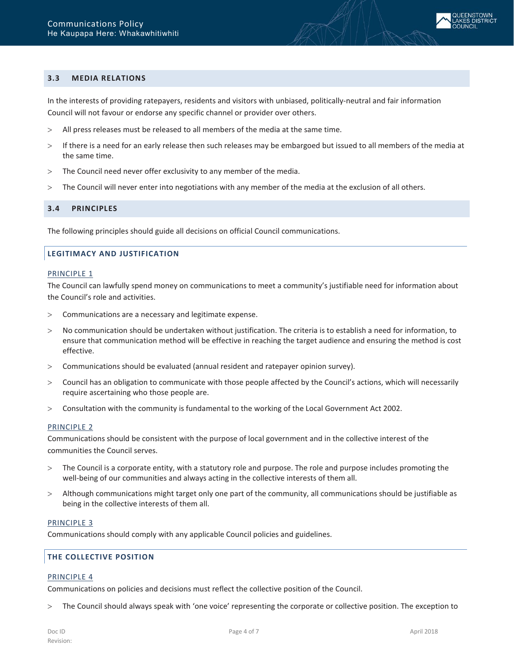

## <span id="page-3-0"></span>**3.3 MEDIA RELATIONS**

In the interests of providing ratepayers, residents and visitors with unbiased, politically-neutral and fair information Council will not favour or endorse any specific channel or provider over others.

- > All press releases must be released to all members of the media at the same time.
- > If there is a need for an early release then such releases may be embargoed but issued to all members of the media at the same time.
- > The Council need never offer exclusivity to any member of the media.
- <span id="page-3-1"></span>> The Council will never enter into negotiations with any member of the media at the exclusion of all others.

#### **3.4 PRINCIPLES**

The following principles should guide all decisions on official Council communications.

### <span id="page-3-2"></span>**LEGITIMACY AND JUSTIFICATION**

#### PRINCIPLE 1

The Council can lawfully spend money on communications to meet a community's justifiable need for information about the Council's role and activities.

- > Communications are a necessary and legitimate expense.
- > No communication should be undertaken without justification. The criteria is to establish a need for information, to ensure that communication method will be effective in reaching the target audience and ensuring the method is cost effective.
- > Communications should be evaluated (annual resident and ratepayer opinion survey).
- > Council has an obligation to communicate with those people affected by the Council's actions, which will necessarily require ascertaining who those people are.
- > Consultation with the community is fundamental to the working of the Local Government Act 2002.

#### PRINCIPLE 2

Communications should be consistent with the purpose of local government and in the collective interest of the communities the Council serves.

- > The Council is a corporate entity, with a statutory role and purpose. The role and purpose includes promoting the well-being of our communities and always acting in the collective interests of them all.
- > Although communications might target only one part of the community, all communications should be justifiable as being in the collective interests of them all.

#### PRINCIPLE 3

Communications should comply with any applicable Council policies and guidelines.

# <span id="page-3-3"></span>**THE COLLECTIVE POSITION**

#### PRINCIPLE 4

Communications on policies and decisions must reflect the collective position of the Council.

> The Council should always speak with 'one voice' representing the corporate or collective position. The exception to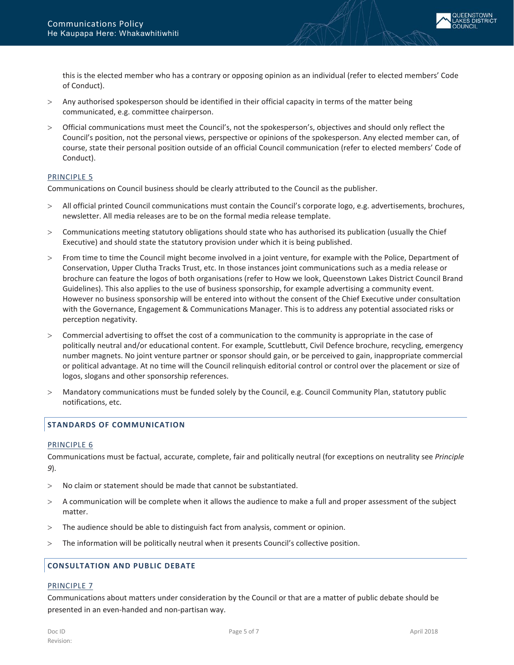this is the elected member who has a contrary or opposing opinion as an individual (refer to elected members' Code of Conduct).

- Any authorised spokesperson should be identified in their official capacity in terms of the matter being communicated, e.g. committee chairperson.
- > Official communications must meet the Council's, not the spokesperson's, objectives and should only reflect the Council's position, not the personal views, perspective or opinions of the spokesperson. Any elected member can, of course, state their personal position outside of an official Council communication (refer to elected members' Code of Conduct).

### PRINCIPLE 5

Communications on Council business should be clearly attributed to the Council as the publisher.

- All official printed Council communications must contain the Council's corporate logo, e.g. advertisements, brochures, newsletter. All media releases are to be on the formal media release template.
- > Communications meeting statutory obligations should state who has authorised its publication (usually the Chief Executive) and should state the statutory provision under which it is being published.
- > From time to time the Council might become involved in a joint venture, for example with the Police, Department of Conservation, Upper Clutha Tracks Trust, etc. In those instances joint communications such as a media release or brochure can feature the logos of both organisations (refer to How we look, Queenstown Lakes District Council Brand Guidelines). This also applies to the use of business sponsorship, for example advertising a community event. However no business sponsorship will be entered into without the consent of the Chief Executive under consultation with the Governance, Engagement & Communications Manager. This is to address any potential associated risks or perception negativity.
- > Commercial advertising to offset the cost of a communication to the community is appropriate in the case of politically neutral and/or educational content. For example, Scuttlebutt, Civil Defence brochure, recycling, emergency number magnets. No joint venture partner or sponsor should gain, or be perceived to gain, inappropriate commercial or political advantage. At no time will the Council relinquish editorial control or control over the placement or size of logos, slogans and other sponsorship references.
- > Mandatory communications must be funded solely by the Council, e.g. Council Community Plan, statutory public notifications, etc.

# <span id="page-4-0"></span>**STANDARDS OF COMMUNICATION**

#### PRINCIPLE 6

Communications must be factual, accurate, complete, fair and politically neutral (for exceptions on neutrality see *Principle 9*).

- > No claim or statement should be made that cannot be substantiated.
- > A communication will be complete when it allows the audience to make a full and proper assessment of the subject matter.
- > The audience should be able to distinguish fact from analysis, comment or opinion.
- > The information will be politically neutral when it presents Council's collective position.

#### <span id="page-4-1"></span>**CONSULTATION AND PUBLIC DEBATE**

#### PRINCIPLE 7

Communications about matters under consideration by the Council or that are a matter of public debate should be presented in an even-handed and non-partisan way.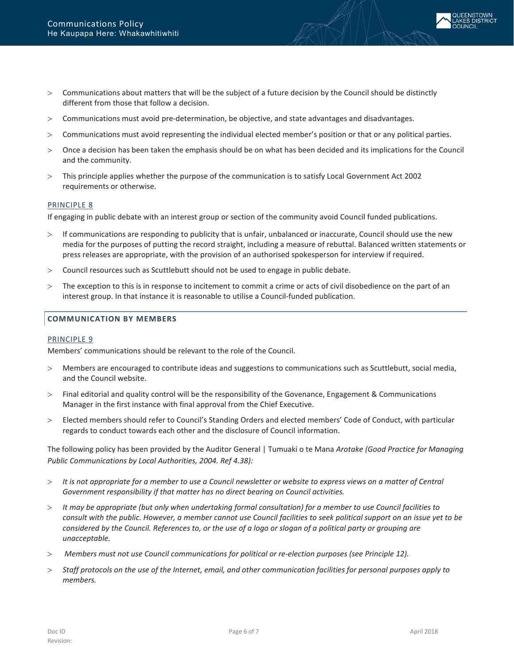

- > Communications must avoid pre-determination, be objective, and state advantages and disadvantages.
- > Communications must avoid representing the individual elected member's position or that or any political parties.
- > Once a decision has been taken the emphasis should be on what has been decided and its implications for the Council and the community.
- > This principle applies whether the purpose of the communication is to satisfy Local Government Act 2002 requirements or otherwise.

#### PRINCIPLE 8

If engaging in public debate with an interest group or section of the community avoid Council funded publications.

- > If communications are responding to publicity that is unfair, unbalanced or inaccurate, Council should use the new media for the purposes of putting the record straight, including a measure of rebuttal. Balanced written statements or press releases are appropriate, with the provision of an authorised spokesperson for interview if required.
- > Council resources such as Scuttlebutt should not be used to engage in public debate.
- > The exception to this is in response to incitement to commit a crime or acts of civil disobedience on the part of an interest group. In that instance it is reasonable to utilise a Council-funded publication.

### <span id="page-5-0"></span>**COMMUNICATION BY MEMBERS**

#### PRINCIPLE 9

Members' communications should be relevant to the role of the Council.

- > Members are encouraged to contribute ideas and suggestions to communications such as Scuttlebutt, social media, and the Council website.
- > Final editorial and quality control will be the responsibility of the Govenance, Engagement & Communications Manager in the first instance with final approval from the Chief Executive.
- > Elected members should refer to Council's Standing Orders and elected members' Code of Conduct, with particular regards to conduct towards each other and the disclosure of Council information.

The following policy has been provided by the Auditor General | Tumuaki o te Mana *Arotake (Good Practice for Managing Public Communications by Local Authorities, 2004. Ref 4.38):*

- > *It is not appropriate for a member to use a Council newsletter or website to express views on a matter of Central Government responsibility if that matter has no direct bearing on Council activities.*
- > *It may be appropriate (but only when undertaking formal consultation) for a member to use Council facilities to consult with the public. However, a member cannot use Council facilities to seek political support on an issue yet to be considered by the Council. References to, or the use of a logo or slogan of a political party or grouping are unacceptable.*
- > *Members must not use Council communications for political or re-election purposes (see Principle 12).*
- > *Staff protocols on the use of the Internet, email, and other communication facilities for personal purposes apply to members.*

**JEENSTOWN AKES DISTRICT**